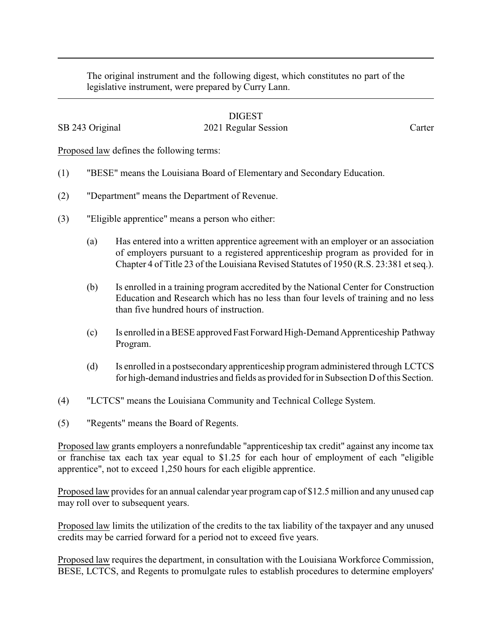The original instrument and the following digest, which constitutes no part of the legislative instrument, were prepared by Curry Lann.

## DIGEST

## SB 243 Original 2021 Regular Session Carter

Proposed law defines the following terms:

- (1) "BESE" means the Louisiana Board of Elementary and Secondary Education.
- (2) "Department" means the Department of Revenue.
- (3) "Eligible apprentice" means a person who either:
	- (a) Has entered into a written apprentice agreement with an employer or an association of employers pursuant to a registered apprenticeship program as provided for in Chapter 4 of Title 23 of the Louisiana Revised Statutes of 1950 (R.S. 23:381 et seq.).
	- (b) Is enrolled in a training program accredited by the National Center for Construction Education and Research which has no less than four levels of training and no less than five hundred hours of instruction.
	- (c) Is enrolled in a BESE approvedFastForward High-Demand Apprenticeship Pathway Program.
	- (d) Is enrolled in a postsecondary apprenticeship program administered through LCTCS for high-demand industries and fields as provided for in Subsection D of this Section.
- (4) "LCTCS" means the Louisiana Community and Technical College System.
- (5) "Regents" means the Board of Regents.

Proposed law grants employers a nonrefundable "apprenticeship tax credit" against any income tax or franchise tax each tax year equal to \$1.25 for each hour of employment of each "eligible apprentice", not to exceed 1,250 hours for each eligible apprentice.

Proposed law provides for an annual calendar year program cap of \$12.5 million and any unused cap may roll over to subsequent years.

Proposed law limits the utilization of the credits to the tax liability of the taxpayer and any unused credits may be carried forward for a period not to exceed five years.

Proposed law requires the department, in consultation with the Louisiana Workforce Commission, BESE, LCTCS, and Regents to promulgate rules to establish procedures to determine employers'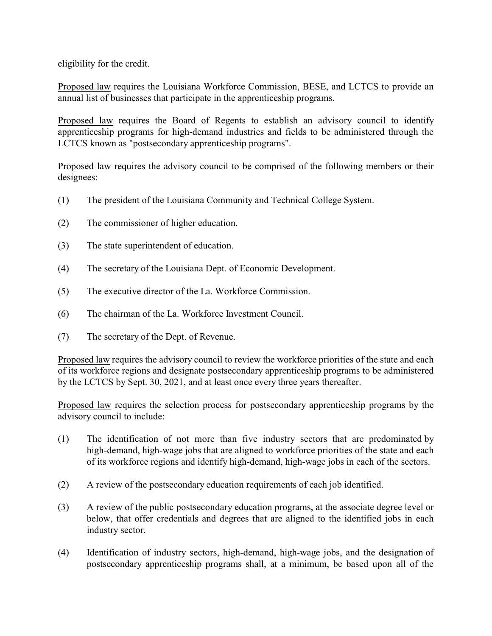eligibility for the credit.

Proposed law requires the Louisiana Workforce Commission, BESE, and LCTCS to provide an annual list of businesses that participate in the apprenticeship programs.

Proposed law requires the Board of Regents to establish an advisory council to identify apprenticeship programs for high-demand industries and fields to be administered through the LCTCS known as "postsecondary apprenticeship programs".

Proposed law requires the advisory council to be comprised of the following members or their designees:

- (1) The president of the Louisiana Community and Technical College System.
- (2) The commissioner of higher education.
- (3) The state superintendent of education.
- (4) The secretary of the Louisiana Dept. of Economic Development.
- (5) The executive director of the La. Workforce Commission.
- (6) The chairman of the La. Workforce Investment Council.
- (7) The secretary of the Dept. of Revenue.

Proposed law requires the advisory council to review the workforce priorities of the state and each of its workforce regions and designate postsecondary apprenticeship programs to be administered by the LCTCS by Sept. 30, 2021, and at least once every three years thereafter.

Proposed law requires the selection process for postsecondary apprenticeship programs by the advisory council to include:

- (1) The identification of not more than five industry sectors that are predominated by high-demand, high-wage jobs that are aligned to workforce priorities of the state and each of its workforce regions and identify high-demand, high-wage jobs in each of the sectors.
- (2) A review of the postsecondary education requirements of each job identified.
- (3) A review of the public postsecondary education programs, at the associate degree level or below, that offer credentials and degrees that are aligned to the identified jobs in each industry sector.
- (4) Identification of industry sectors, high-demand, high-wage jobs, and the designation of postsecondary apprenticeship programs shall, at a minimum, be based upon all of the